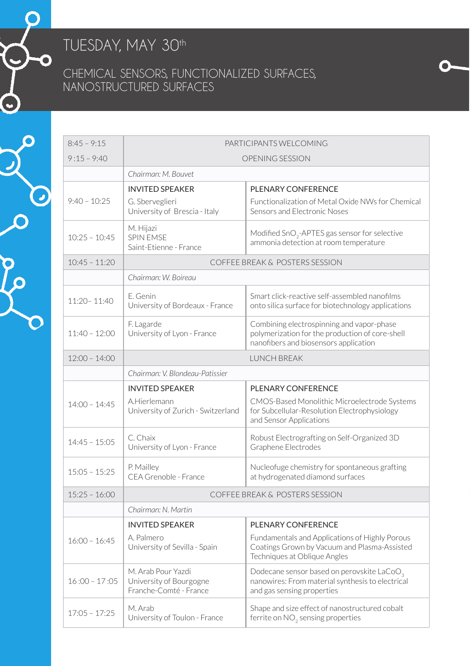## TUESDAY, MAY 30<sup>th</sup>

◉

 $\odot$ 

C

## Chemical Sensors, Functionalized Surfaces, Nanostructured Surfaces

| $8:45 - 9:15$   | PARTICIPANTS WELCOMING                                                  |                                                                                                                                          |
|-----------------|-------------------------------------------------------------------------|------------------------------------------------------------------------------------------------------------------------------------------|
| $9:15 - 9:40$   | OPENING SESSION                                                         |                                                                                                                                          |
|                 | Chairman: M. Bouvet                                                     |                                                                                                                                          |
|                 | <b>INVITED SPEAKER</b>                                                  | PLENARY CONFERENCE                                                                                                                       |
| $9:40 - 10:25$  | G. Sberveglieri<br>University of Brescia - Italy                        | Functionalization of Metal Oxide NWs for Chemical<br>Sensors and Electronic Noses                                                        |
| $10:25 - 10:45$ | M. Hijazi<br><b>SPIN EMSE</b><br>Saint-Etienne - France                 | Modified SnO <sub>2</sub> -APTES gas sensor for selective<br>ammonia detection at room temperature                                       |
| $10:45 - 11:20$ | COFFEE BREAK & POSTERS SESSION                                          |                                                                                                                                          |
|                 | Chairman: W. Boireau                                                    |                                                                                                                                          |
| $11:20 - 11:40$ | F. Genin<br>University of Bordeaux - France                             | Smart click-reactive self-assembled nanofilms<br>onto silica surface for biotechnology applications                                      |
| $11:40 - 12:00$ | F. Lagarde<br>University of Lyon - France                               | Combining electrospinning and vapor-phase<br>polymerization for the production of core-shell<br>nanofibers and biosensors application    |
| $12:00 - 14:00$ | <b>I UNCH BREAK</b>                                                     |                                                                                                                                          |
|                 | Chairman: V. Blondeau-Patissier                                         |                                                                                                                                          |
|                 | <b>INVITED SPEAKER</b>                                                  | PLENARY CONFERENCE                                                                                                                       |
| $14:00 - 14:45$ | A.Hierlemann<br>University of Zurich - Switzerland                      | CMOS-Based Monolithic Microelectrode Systems<br>for Subcellular-Resolution Electrophysiology<br>and Sensor Applications                  |
| $14:45 - 15:05$ | C. Chaix<br>University of Lyon - France                                 | Robust Electrografting on Self-Organized 3D<br>Graphene Electrodes                                                                       |
| $15:05 - 15:25$ | P. Maillev<br>CFA Grenoble - France                                     | Nucleofuge chemistry for spontaneous grafting<br>at hydrogenated diamond surfaces                                                        |
| $15:25 - 16:00$ | COFFEE BREAK & POSTERS SESSION                                          |                                                                                                                                          |
|                 | Chairman: N. Martin                                                     |                                                                                                                                          |
|                 | <b>INVITED SPEAKER</b>                                                  | PLENARY CONFERENCE                                                                                                                       |
| $16:00 - 16:45$ | A. Palmero<br>University of Sevilla - Spain                             | Fundamentals and Applications of Highly Porous<br>Coatings Grown by Vacuum and Plasma-Assisted<br>Techniques at Oblique Angles           |
| $16:00 - 17:05$ | M. Arab Pour Yazdi<br>University of Bourgogne<br>Franche-Comté - France | Dodecane sensor based on perovskite LaCoO <sub>3</sub><br>nanowires: From material synthesis to electrical<br>and gas sensing properties |
| $17:05 - 17:25$ | M. Arab<br>University of Toulon - France                                | Shape and size effect of nanostructured cobalt<br>ferrite on NO <sub>2</sub> sensing properties                                          |